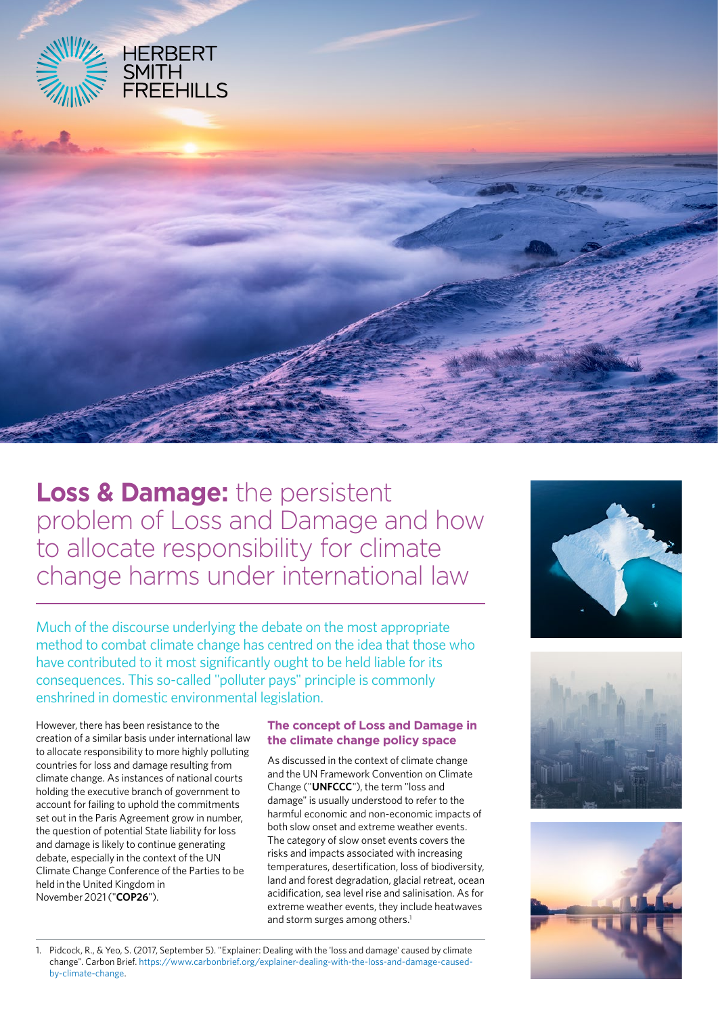

**Loss & Damage:** the persistent problem of Loss and Damage and how to allocate responsibility for climate change harms under international law

Much of the discourse underlying the debate on the most appropriate method to combat climate change has centred on the idea that those who have contributed to it most significantly ought to be held liable for its consequences. This so-called "polluter pays" principle is commonly enshrined in domestic environmental legislation.

However, there has been resistance to the creation of a similar basis under international law to allocate responsibility to more highly polluting countries for loss and damage resulting from climate change. As instances of national courts holding the executive branch of government to account for failing to uphold the commitments set out in the Paris Agreement grow in number, the question of potential State liability for loss and damage is likely to continue generating debate, especially in the context of the UN Climate Change Conference of the Parties to be held in the United Kingdom in November 2021 ("**COP26**").

# **The concept of Loss and Damage in the climate change policy space**

As discussed in the context of climate change and the UN Framework Convention on Climate Change ("**UNFCCC**"), the term "loss and damage" is usually understood to refer to the harmful economic and non-economic impacts of both slow onset and extreme weather events. The category of slow onset events covers the risks and impacts associated with increasing temperatures, desertification, loss of biodiversity, land and forest degradation, glacial retreat, ocean acidification, sea level rise and salinisation. As for extreme weather events, they include heatwaves and storm surges among others.<sup>1</sup>







<sup>1.</sup> Pidcock, R., & Yeo, S. (2017, September 5). "Explainer: Dealing with the 'loss and damage' caused by climate change". Carbon Brief. [https://www.carbonbrief.org/explainer-dealing-with-the-loss-and-damage-caused](https://www.carbonbrief.org/explainer-dealing-with-the-loss-and-damage-caused-by-climate-change)[by-climate-change](https://www.carbonbrief.org/explainer-dealing-with-the-loss-and-damage-caused-by-climate-change).